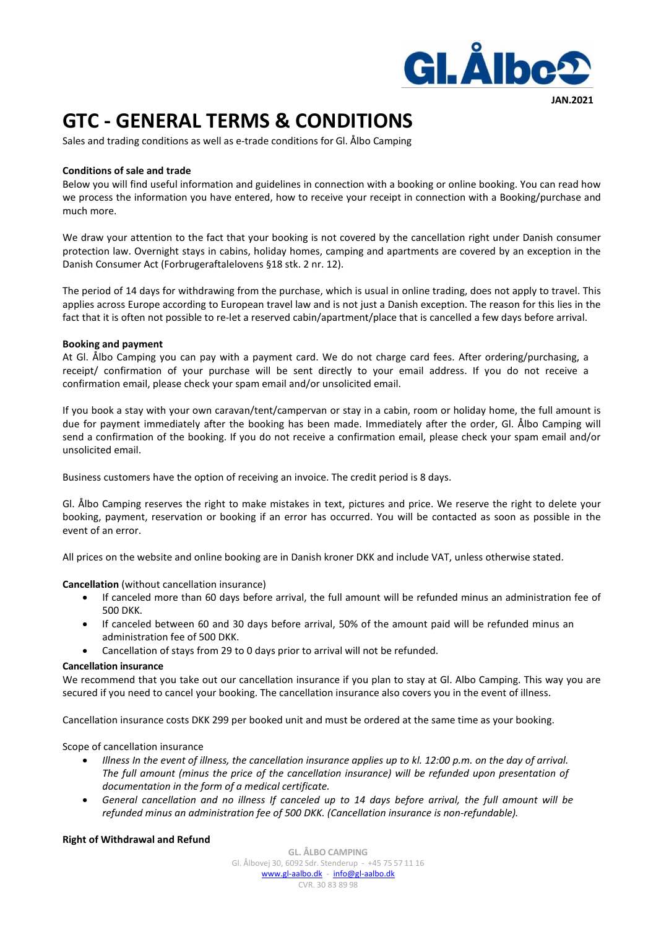

**JAN.2021**

# **GTC - GENERAL TERMS & CONDITIONS**

Sales and trading conditions as well as e-trade conditions for Gl. Ålbo Camping

# **Conditions of sale and trade**

Below you will find useful information and guidelines in connection with a booking or online booking. You can read how we process the information you have entered, how to receive your receipt in connection with a Booking/purchase and much more.

We draw your attention to the fact that your booking is not covered by the cancellation right under Danish consumer protection law. Overnight stays in cabins, holiday homes, camping and apartments are covered by an exception in the Danish Consumer Act (Forbrugeraftalelovens §18 stk. 2 nr. 12).

The period of 14 days for withdrawing from the purchase, which is usual in online trading, does not apply to travel. This applies across Europe according to European travel law and is not just a Danish exception. The reason for this lies in the fact that it is often not possible to re-let a reserved cabin/apartment/place that is cancelled a few days before arrival.

# **Booking and payment**

At Gl. Ålbo Camping you can pay with a payment card. We do not charge card fees. After ordering/purchasing, a receipt/ confirmation of your purchase will be sent directly to your email address. If you do not receive a confirmation email, please check your spam email and/or unsolicited email.

If you book a stay with your own caravan/tent/campervan or stay in a cabin, room or holiday home, the full amount is due for payment immediately after the booking has been made. Immediately after the order, Gl. Ålbo Camping will send a confirmation of the booking. If you do not receive a confirmation email, please check your spam email and/or unsolicited email.

Business customers have the option of receiving an invoice. The credit period is 8 days.

Gl. Ålbo Camping reserves the right to make mistakes in text, pictures and price. We reserve the right to delete your booking, payment, reservation or booking if an error has occurred. You will be contacted as soon as possible in the event of an error.

All prices on the website and online booking are in Danish kroner DKK and include VAT, unless otherwise stated.

**Cancellation** (without cancellation insurance)

- If canceled more than 60 days before arrival, the full amount will be refunded minus an administration fee of 500 DKK.
- If canceled between 60 and 30 days before arrival, 50% of the amount paid will be refunded minus an administration fee of 500 DKK.
- Cancellation of stays from 29 to 0 days prior to arrival will not be refunded.

## **Cancellation insurance**

We recommend that you take out our cancellation insurance if you plan to stay at Gl. Albo Camping. This way you are secured if you need to cancel your booking. The cancellation insurance also covers you in the event of illness.

Cancellation insurance costs DKK 299 per booked unit and must be ordered at the same time as your booking.

Scope of cancellation insurance

- *Illness In the event of illness, the cancellation insurance applies up to kl. 12:00 p.m. on the day of arrival. The full amount (minus the price of the cancellation insurance) will be refunded upon presentation of documentation in the form of a medical certificate.*
- *General cancellation and no illness If canceled up to 14 days before arrival, the full amount will be refunded minus an administration fee of 500 DKK. (Cancellation insurance is non-refundable).*

# **Right of Withdrawal and Refund**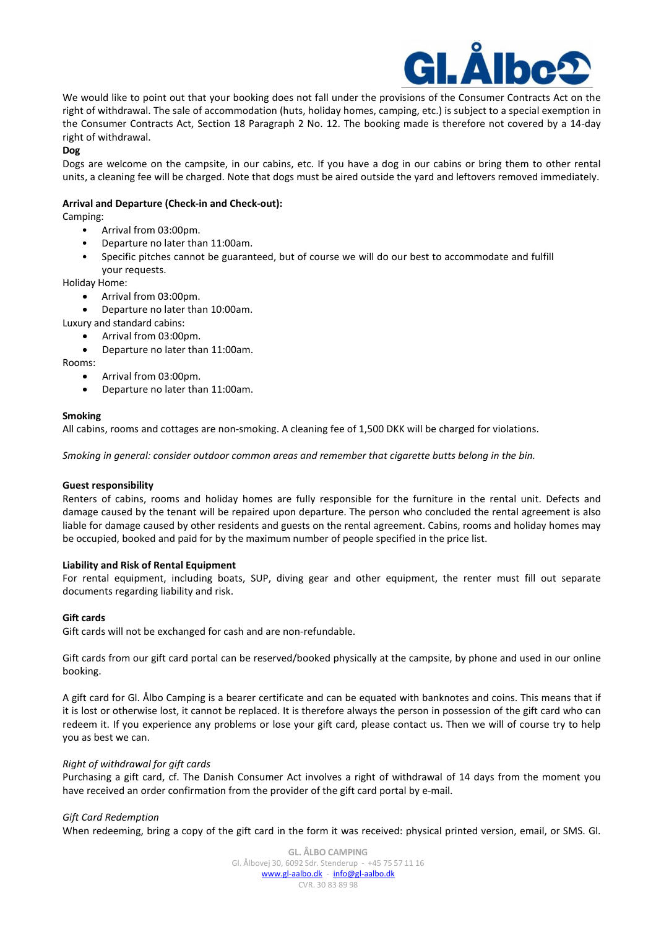

We would like to point out that your booking does not fall under the provisions of the Consumer Contracts Act on the right of withdrawal. The sale of accommodation (huts, holiday homes, camping, etc.) is subject to a special exemption in the Consumer Contracts Act, Section 18 Paragraph 2 No. 12. The booking made is therefore not covered by a 14-day right of withdrawal.

**Dog**

Dogs are welcome on the campsite, in our cabins, etc. If you have a dog in our cabins or bring them to other rental units, a cleaning fee will be charged. Note that dogs must be aired outside the yard and leftovers removed immediately.

## **Arrival and Departure (Check-in and Check-out):**

Camping:

- Arrival from 03:00pm.
- Departure no later than 11:00am.
- Specific pitches cannot be guaranteed, but of course we will do our best to accommodate and fulfill your requests.

Holiday Home:

- Arrival from 03:00pm.
- Departure no later than 10:00am.
- Luxury and standard cabins:
	- Arrival from 03:00pm.
	- Departure no later than 11:00am.

Rooms:

- Arrival from 03:00pm.
- Departure no later than 11:00am.

## **Smoking**

All cabins, rooms and cottages are non-smoking. A cleaning fee of 1,500 DKK will be charged for violations.

*Smoking in general: consider outdoor common areas and remember that cigarette butts belong in the bin.*

## **Guest responsibility**

Renters of cabins, rooms and holiday homes are fully responsible for the furniture in the rental unit. Defects and damage caused by the tenant will be repaired upon departure. The person who concluded the rental agreement is also liable for damage caused by other residents and guests on the rental agreement. Cabins, rooms and holiday homes may be occupied, booked and paid for by the maximum number of people specified in the price list.

## **Liability and Risk of Rental Equipment**

For rental equipment, including boats, SUP, diving gear and other equipment, the renter must fill out separate documents regarding liability and risk.

## **Gift cards**

Gift cards will not be exchanged for cash and are non-refundable.

Gift cards from our gift card portal can be reserved/booked physically at the campsite, by phone and used in our online booking.

A gift card for Gl. Ålbo Camping is a bearer certificate and can be equated with banknotes and coins. This means that if it is lost or otherwise lost, it cannot be replaced. It is therefore always the person in possession of the gift card who can redeem it. If you experience any problems or lose your gift card, please contact us. Then we will of course try to help you as best we can.

# *Right of withdrawal for gift cards*

Purchasing a gift card, cf. The Danish Consumer Act involves a right of withdrawal of 14 days from the moment you have received an order confirmation from the provider of the gift card portal by e-mail.

## *Gift Card Redemption*

When redeeming, bring a copy of the gift card in the form it was received: physical printed version, email, or SMS. Gl.

**GL. ÅLBO CAMPING** Gl. Ålbovej 30, 6092 Sdr. Stenderup - +45 75 57 11 16 [www.gl-aalbo.dk](http://www.gl-aalbo.dk/) - [info@gl-aalbo.dk](mailto:info@gl-aalbo.dk) CVR. 30 83 89 98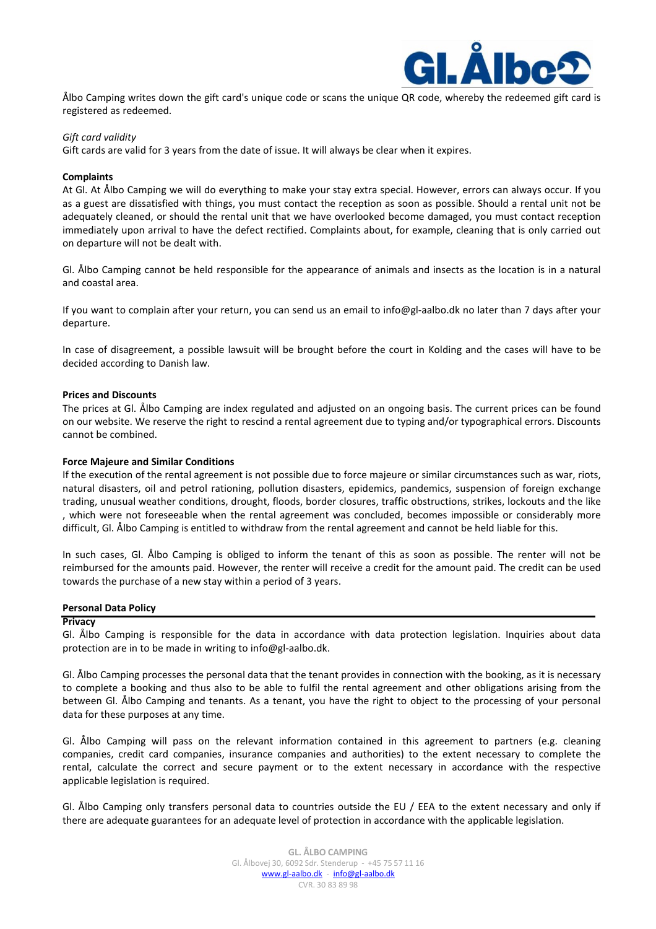

Ålbo Camping writes down the gift card's unique code or scans the unique QR code, whereby the redeemed gift card is registered as redeemed.

## *Gift card validity*

Gift cards are valid for 3 years from the date of issue. It will always be clear when it expires.

## **Complaints**

At Gl. At Ålbo Camping we will do everything to make your stay extra special. However, errors can always occur. If you as a guest are dissatisfied with things, you must contact the reception as soon as possible. Should a rental unit not be adequately cleaned, or should the rental unit that we have overlooked become damaged, you must contact reception immediately upon arrival to have the defect rectified. Complaints about, for example, cleaning that is only carried out on departure will not be dealt with.

Gl. Ålbo Camping cannot be held responsible for the appearance of animals and insects as the location is in a natural and coastal area.

If you want to complain after your return, you can send us an email to info@gl-aalbo.dk no later than 7 days after your departure.

In case of disagreement, a possible lawsuit will be brought before the court in Kolding and the cases will have to be decided according to Danish law.

## **Prices and Discounts**

The prices at Gl. Ålbo Camping are index regulated and adjusted on an ongoing basis. The current prices can be found on our website. We reserve the right to rescind a rental agreement due to typing and/or typographical errors. Discounts cannot be combined.

## **Force Majeure and Similar Conditions**

If the execution of the rental agreement is not possible due to force majeure or similar circumstances such as war, riots, natural disasters, oil and petrol rationing, pollution disasters, epidemics, pandemics, suspension of foreign exchange trading, unusual weather conditions, drought, floods, border closures, traffic obstructions, strikes, lockouts and the like , which were not foreseeable when the rental agreement was concluded, becomes impossible or considerably more difficult, Gl. Ålbo Camping is entitled to withdraw from the rental agreement and cannot be held liable for this.

In such cases, Gl. Ålbo Camping is obliged to inform the tenant of this as soon as possible. The renter will not be reimbursed for the amounts paid. However, the renter will receive a credit for the amount paid. The credit can be used towards the purchase of a new stay within a period of 3 years.

## **Personal Data Policy**

## **Privacy**

Gl. Ålbo Camping is responsible for the data in accordance with data protection legislation. Inquiries about data protection are in to be made in writing to info@gl-aalbo.dk.

Gl. Ålbo Camping processes the personal data that the tenant provides in connection with the booking, as it is necessary to complete a booking and thus also to be able to fulfil the rental agreement and other obligations arising from the between Gl. Ålbo Camping and tenants. As a tenant, you have the right to object to the processing of your personal data for these purposes at any time.

Gl. Ålbo Camping will pass on the relevant information contained in this agreement to partners (e.g. cleaning companies, credit card companies, insurance companies and authorities) to the extent necessary to complete the rental, calculate the correct and secure payment or to the extent necessary in accordance with the respective applicable legislation is required.

Gl. Ålbo Camping only transfers personal data to countries outside the EU / EEA to the extent necessary and only if there are adequate guarantees for an adequate level of protection in accordance with the applicable legislation.